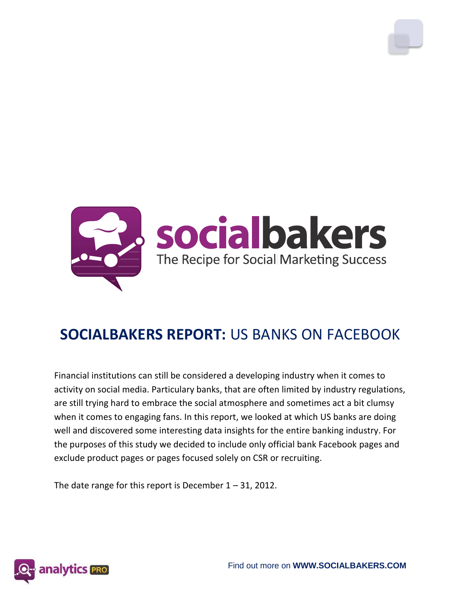

# **SOCIALBAKERS REPORT:** US BANKS ON FACEBOOK

Financial institutions can still be considered a developing industry when it comes to activity on social media. Particulary banks, that are often limited by industry regulations, are still trying hard to embrace the social atmosphere and sometimes act a bit clumsy when it comes to engaging fans. In this report, we looked at which US banks are doing well and discovered some interesting data insights for the entire banking industry. For the purposes of this study we decided to include only official bank Facebook pages and exclude product pages or pages focused solely on CSR or recruiting.

The date range for this report is December  $1 - 31$ , 2012.

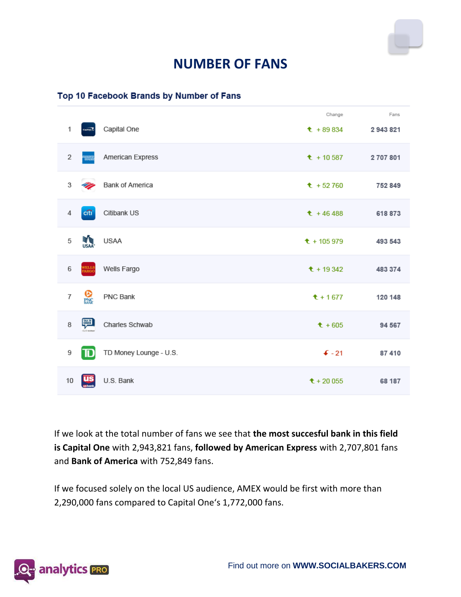

### **NUMBER OF FANS**

#### Top 10 Facebook Brands by Number of Fans

|                           |                   |                        | Change            | Fans    |
|---------------------------|-------------------|------------------------|-------------------|---------|
| 1                         | Counsel To        | Capital One            | $t + 89834$       | 2943821 |
| 2                         |                   | American Express       | $t + 10587$       | 2707801 |
| 3                         |                   | <b>Bank of America</b> | $t + 52760$       | 752 849 |
| $\it 4$                   | citi <sup>-</sup> | Citibank US            | $t + 46488$       | 618 873 |
| 5                         | <b>THE REAL</b>   | <b>USAA</b>            | $t + 105979$      | 493 543 |
| 6                         | WELLS<br>FARGO    | Wells Fargo            | $t + 19342$       | 483 374 |
| $\overline{\mathfrak{c}}$ | <b>Q</b>          | PNC Bank               | $t + 1677$        | 120 148 |
| 8                         | 驒                 | Charles Schwab         | $t + 605$         | 94 567  |
| 9                         | TD                | TD Money Lounge - U.S. | $\mathbf{F}$ - 21 | 87 410  |
| 10                        | <u>us</u>         | U.S. Bank              | $t + 20055$       | 68 187  |

If we look at the total number of fans we see that **the most succesful bank in this field is Capital One** with 2,943,821 fans, **followed by American Express** with 2,707,801 fans and **Bank of America** with 752,849 fans.

If we focused solely on the local US audience, AMEX would be first with more than 2,290,000 fans compared to Capital One's 1,772,000 fans.

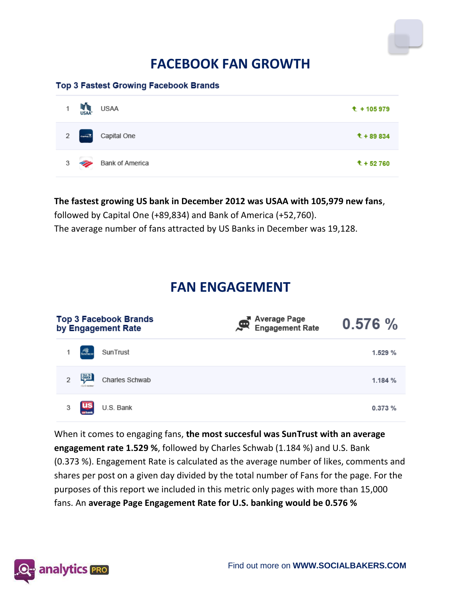## **FACEBOOK FAN GROWTH**

#### **Top 3 Fastest Growing Facebook Brands**

| 1              | <b>THE REAL</b>     | <b>USAA</b>     | $t + 105979$ |
|----------------|---------------------|-----------------|--------------|
| 2              | $\epsilon_{\rm{w}}$ | Capital One     | $t + 89834$  |
| 3 <sup>7</sup> | <u>N</u>            | Bank of America | $t + 52760$  |

#### **The fastest growing US bank in December 2012 was USAA with 105,979 new fans**,

followed by Capital One (+89,834) and Bank of America (+52,760). The average number of fans attracted by US Banks in December was 19,128.

### **FAN ENGAGEMENT**

| Top 3 Facebook Brands<br>by Engagement Rate |                | A Average Page<br>Rengagement Rate<br>耍 | 0.576%  |
|---------------------------------------------|----------------|-----------------------------------------|---------|
| SUNTHUNT<br>SunTrust<br>1                   |                |                                         | 1.529 % |
| $\mathcal{D}$                               | Charles Schwab |                                         | 1.184%  |
| <u>us</u><br>U.S. Bank<br>3                 |                |                                         | 0.373%  |

When it comes to engaging fans, **the most succesful was SunTrust with an average engagement rate 1.529 %**, followed by Charles Schwab (1.184 %) and U.S. Bank (0.373 %). Engagement Rate is calculated as the average number of likes, comments and shares per post on a given day divided by the total number of Fans for the page. For the purposes of this report we included in this metric only pages with more than 15,000 fans. An **average Page Engagement Rate for U.S. banking would be 0.576 %**

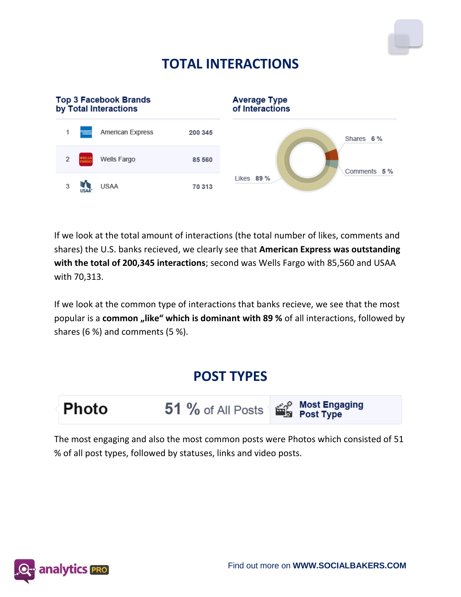# **TOTAL INTERACTIONS**



If we look at the total amount of interactions (the total number of likes, comments and shares) the U.S. banks recieved, we clearly see that **American Express was outstanding with the total of 200,345 interactions**; second was Wells Fargo with 85,560 and USAA with 70,313.

If we look at the common type of interactions that banks recieve, we see that the most popular is a **common** "like" which is dominant with 89 % of all interactions, followed by shares (6 %) and comments (5 %).

### **POST TYPES**



**51** % of All Posts Section Post Engaging

The most engaging and also the most common posts were Photos which consisted of 51 % of all post types, followed by statuses, links and video posts.